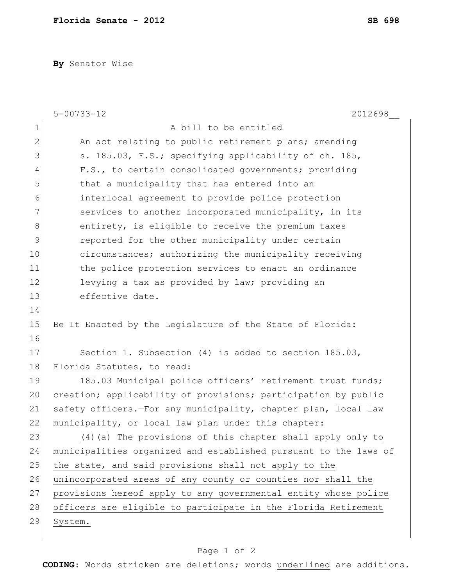**By** Senator Wise

|               | $5 - 00733 - 12$<br>2012698                                      |
|---------------|------------------------------------------------------------------|
| $\mathbf 1$   | A bill to be entitled                                            |
| $\mathbf{2}$  | An act relating to public retirement plans; amending             |
| 3             | s. 185.03, F.S.; specifying applicability of ch. 185,            |
| 4             | F.S., to certain consolidated governments; providing             |
| 5             | that a municipality that has entered into an                     |
| 6             | interlocal agreement to provide police protection                |
| 7             | services to another incorporated municipality, in its            |
| 8             | entirety, is eligible to receive the premium taxes               |
| $\mathcal{G}$ | reported for the other municipality under certain                |
| 10            | circumstances; authorizing the municipality receiving            |
| 11            | the police protection services to enact an ordinance             |
| 12            | levying a tax as provided by law; providing an                   |
| 13            | effective date.                                                  |
| 14            |                                                                  |
| 15            | Be It Enacted by the Legislature of the State of Florida:        |
| 16            |                                                                  |
| 17            | Section 1. Subsection $(4)$ is added to section $185.03$ ,       |
| 18            | Florida Statutes, to read:                                       |
| 19            | 185.03 Municipal police officers' retirement trust funds;        |
| 20            | creation; applicability of provisions; participation by public   |
| 21            | safety officers.-For any municipality, chapter plan, local law   |
| 22            | municipality, or local law plan under this chapter:              |
| 23            | (4) (a) The provisions of this chapter shall apply only to       |
| 24            | municipalities organized and established pursuant to the laws of |
| 25            | the state, and said provisions shall not apply to the            |
| 26            | unincorporated areas of any county or counties nor shall the     |
| 27            | provisions hereof apply to any governmental entity whose police  |
| 28            | officers are eligible to participate in the Florida Retirement   |
| 29            | System.                                                          |
|               |                                                                  |

## Page 1 of 2

**CODING**: Words stricken are deletions; words underlined are additions.